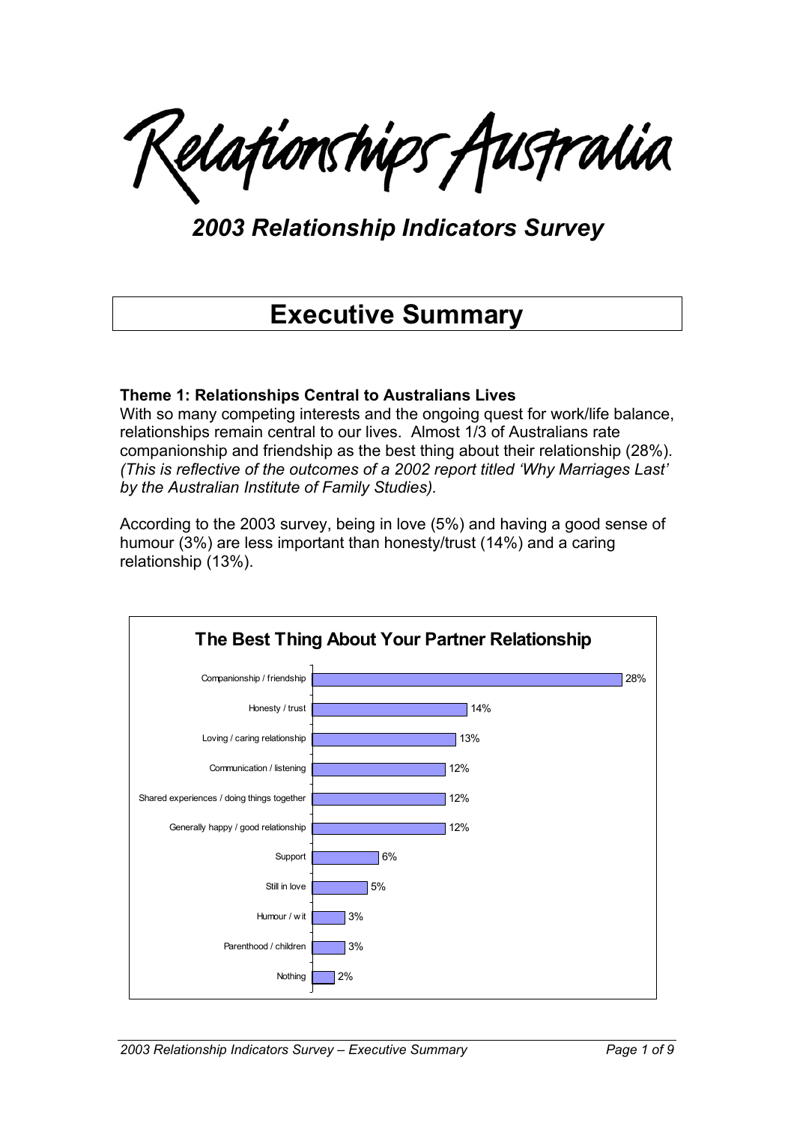Lelationships Australia

*2003 Relationship Indicators Survey* 

# **Executive Summary**

### **Theme 1: Relationships Central to Australians Lives**

With so many competing interests and the ongoing quest for work/life balance, relationships remain central to our lives. Almost 1/3 of Australians rate companionship and friendship as the best thing about their relationship (28%). *(This is reflective of the outcomes of a 2002 report titled 'Why Marriages Last' by the Australian Institute of Family Studies).*

According to the 2003 survey, being in love (5%) and having a good sense of humour (3%) are less important than honesty/trust (14%) and a caring relationship (13%).

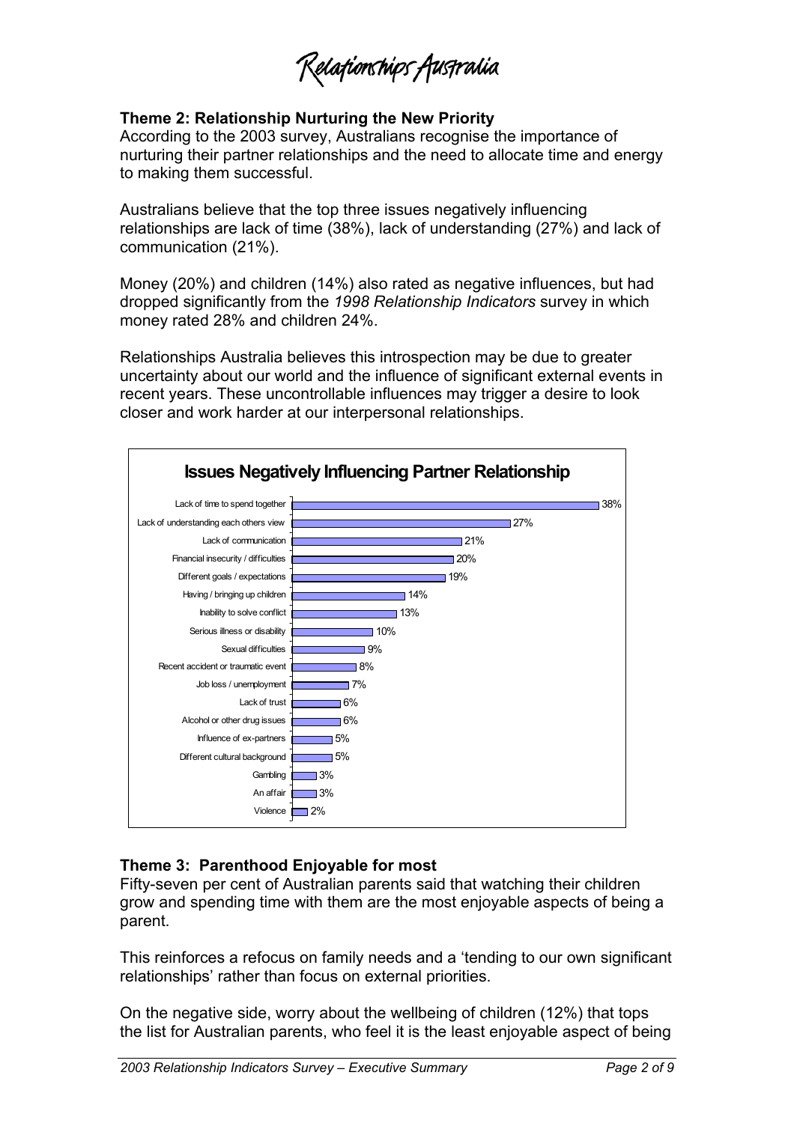Relafionships Australia

#### **Theme 2: Relationship Nurturing the New Priority**

According to the 2003 survey, Australians recognise the importance of nurturing their partner relationships and the need to allocate time and energy to making them successful.

Australians believe that the top three issues negatively influencing relationships are lack of time (38%), lack of understanding (27%) and lack of communication (21%).

Money (20%) and children (14%) also rated as negative influences, but had dropped significantly from the *1998 Relationship Indicators* survey in which money rated 28% and children 24%.

Relationships Australia believes this introspection may be due to greater uncertainty about our world and the influence of significant external events in recent years. These uncontrollable influences may trigger a desire to look closer and work harder at our interpersonal relationships.



# **Theme 3: Parenthood Enjoyable for most**

Fifty-seven per cent of Australian parents said that watching their children grow and spending time with them are the most enjoyable aspects of being a parent.

This reinforces a refocus on family needs and a 'tending to our own significant relationships' rather than focus on external priorities.

On the negative side, worry about the wellbeing of children (12%) that tops the list for Australian parents, who feel it is the least enjoyable aspect of being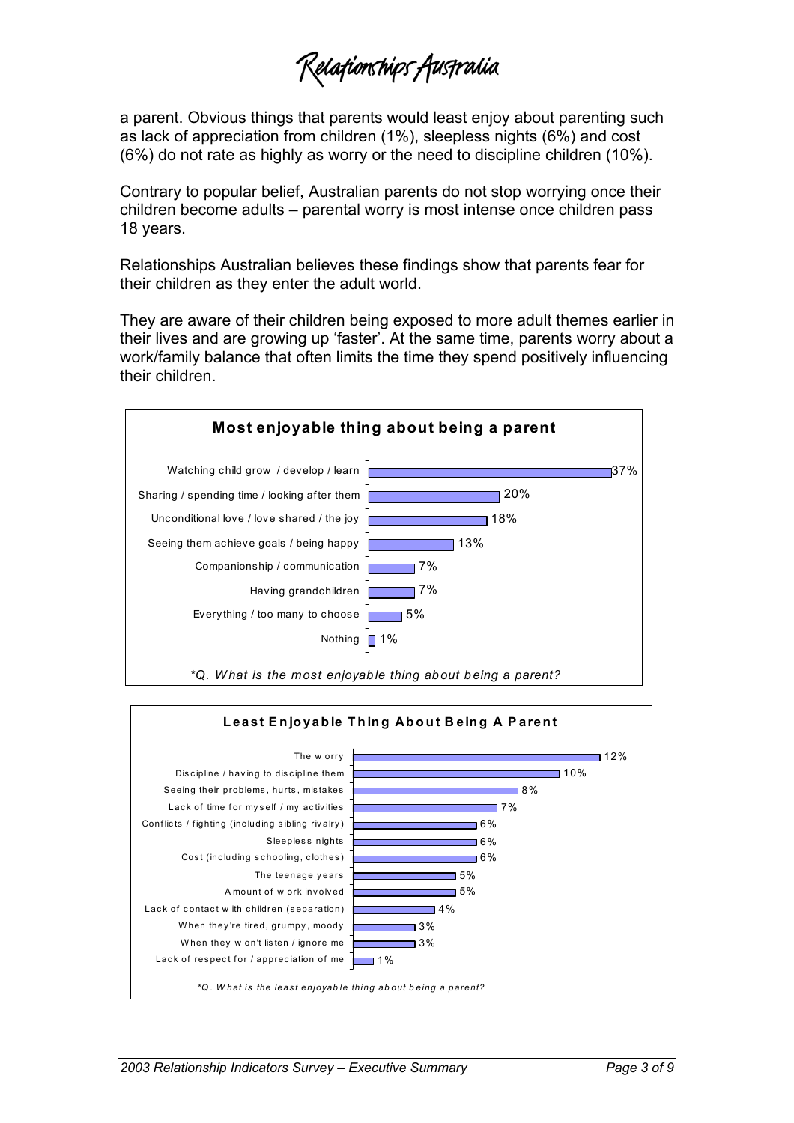Relafionships Australia

a parent. Obvious things that parents would least enjoy about parenting such as lack of appreciation from children (1%), sleepless nights (6%) and cost (6%) do not rate as highly as worry or the need to discipline children (10%).

Contrary to popular belief, Australian parents do not stop worrying once their children become adults – parental worry is most intense once children pass 18 years.

Relationships Australian believes these findings show that parents fear for their children as they enter the adult world.

They are aware of their children being exposed to more adult themes earlier in their lives and are growing up 'faster'. At the same time, parents worry about a work/family balance that often limits the time they spend positively influencing their children.



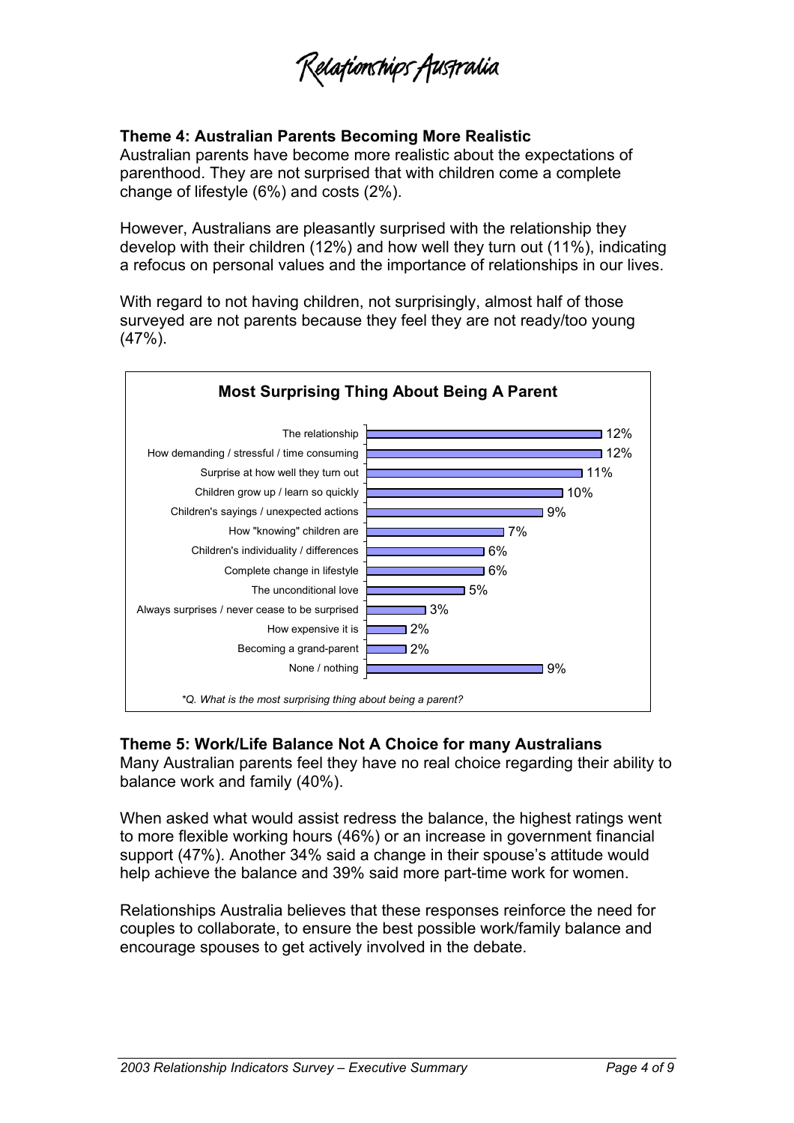Zelafionships Australia

### **Theme 4: Australian Parents Becoming More Realistic**

Australian parents have become more realistic about the expectations of parenthood. They are not surprised that with children come a complete change of lifestyle (6%) and costs (2%).

However, Australians are pleasantly surprised with the relationship they develop with their children (12%) and how well they turn out (11%), indicating a refocus on personal values and the importance of relationships in our lives.

With regard to not having children, not surprisingly, almost half of those surveyed are not parents because they feel they are not ready/too young (47%).



#### **Theme 5: Work/Life Balance Not A Choice for many Australians**

Many Australian parents feel they have no real choice regarding their ability to balance work and family (40%).

When asked what would assist redress the balance, the highest ratings went to more flexible working hours (46%) or an increase in government financial support (47%). Another 34% said a change in their spouse's attitude would help achieve the balance and 39% said more part-time work for women.

Relationships Australia believes that these responses reinforce the need for couples to collaborate, to ensure the best possible work/family balance and encourage spouses to get actively involved in the debate.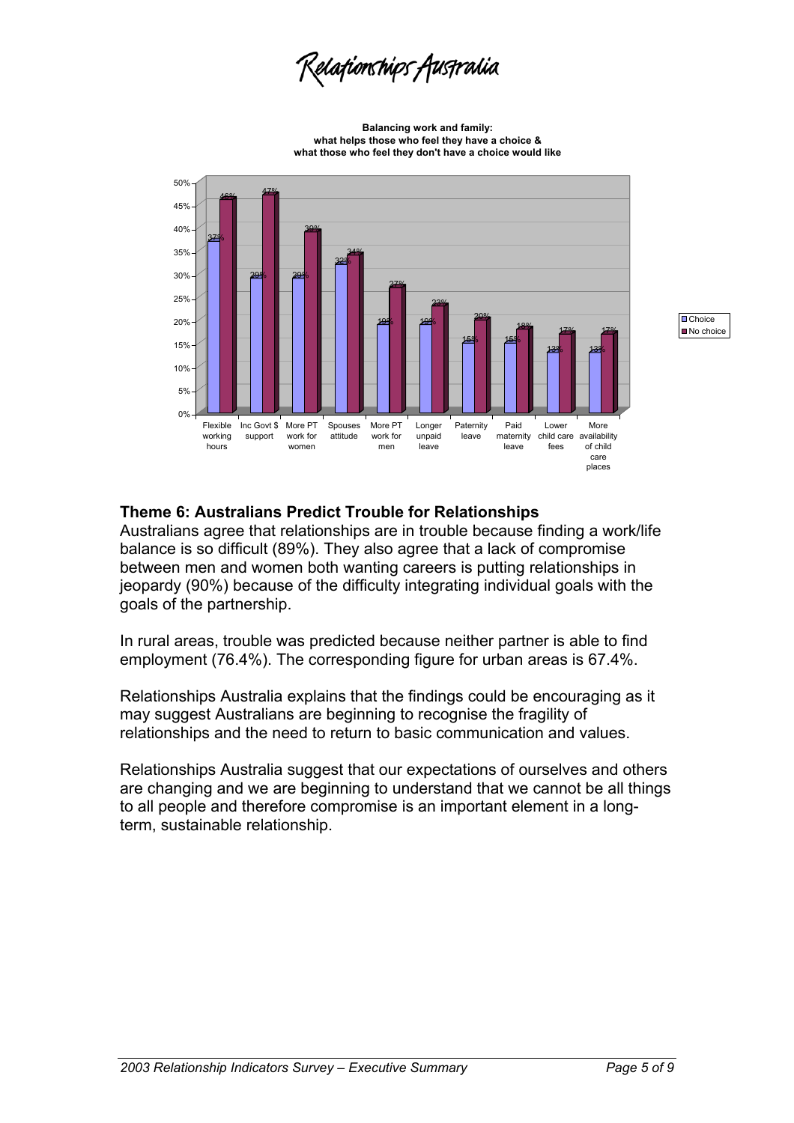Lelafionships Australia

**Balancing work and family: what helps those who feel they have a choice & what those who feel they don't have a choice would like**



**O** Choice No choice

#### **Theme 6: Australians Predict Trouble for Relationships**

Australians agree that relationships are in trouble because finding a work/life balance is so difficult (89%). They also agree that a lack of compromise between men and women both wanting careers is putting relationships in jeopardy (90%) because of the difficulty integrating individual goals with the goals of the partnership.

In rural areas, trouble was predicted because neither partner is able to find employment (76.4%). The corresponding figure for urban areas is 67.4%.

Relationships Australia explains that the findings could be encouraging as it may suggest Australians are beginning to recognise the fragility of relationships and the need to return to basic communication and values.

Relationships Australia suggest that our expectations of ourselves and others are changing and we are beginning to understand that we cannot be all things to all people and therefore compromise is an important element in a longterm, sustainable relationship.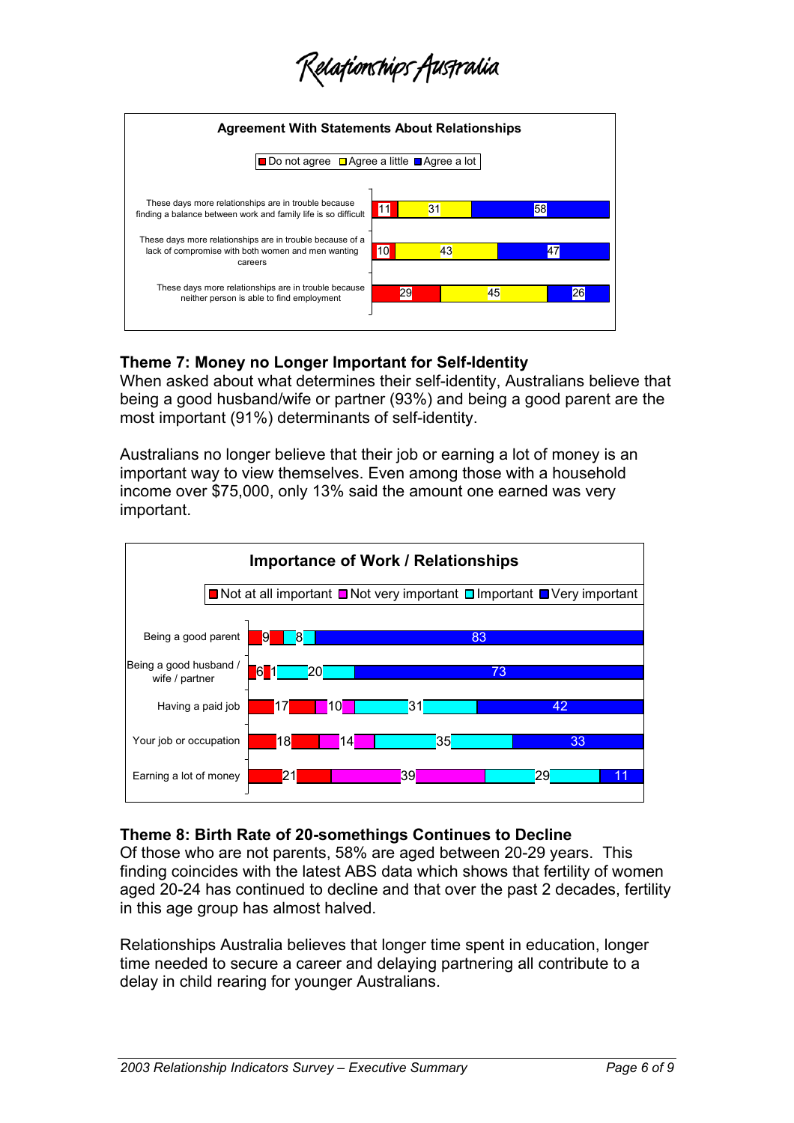Zelafionships Auspralia



# **Theme 7: Money no Longer Important for Self-Identity**

When asked about what determines their self-identity, Australians believe that being a good husband/wife or partner (93%) and being a good parent are the most important (91%) determinants of self-identity.

Australians no longer believe that their job or earning a lot of money is an important way to view themselves. Even among those with a household income over \$75,000, only 13% said the amount one earned was very important.



#### **Theme 8: Birth Rate of 20-somethings Continues to Decline**

Of those who are not parents, 58% are aged between 20-29 years. This finding coincides with the latest ABS data which shows that fertility of women aged 20-24 has continued to decline and that over the past 2 decades, fertility in this age group has almost halved.

Relationships Australia believes that longer time spent in education, longer time needed to secure a career and delaying partnering all contribute to a delay in child rearing for younger Australians.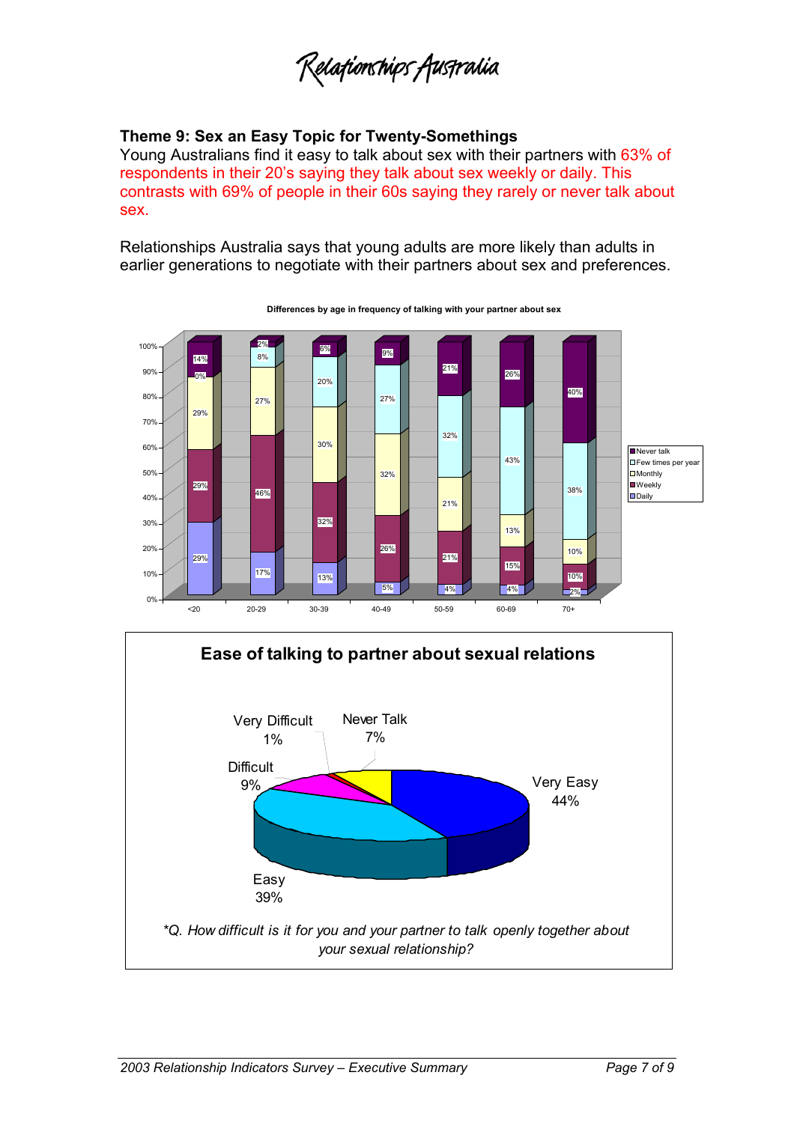Relafionships Australia

# **Theme 9: Sex an Easy Topic for Twenty-Somethings**

Young Australians find it easy to talk about sex with their partners with 63% of respondents in their 20's saying they talk about sex weekly or daily. This contrasts with 69% of people in their 60s saying they rarely or never talk about sex.

Relationships Australia says that young adults are more likely than adults in earlier generations to negotiate with their partners about sex and preferences.



**Differences by age in frequency of talking with your partner about sex**

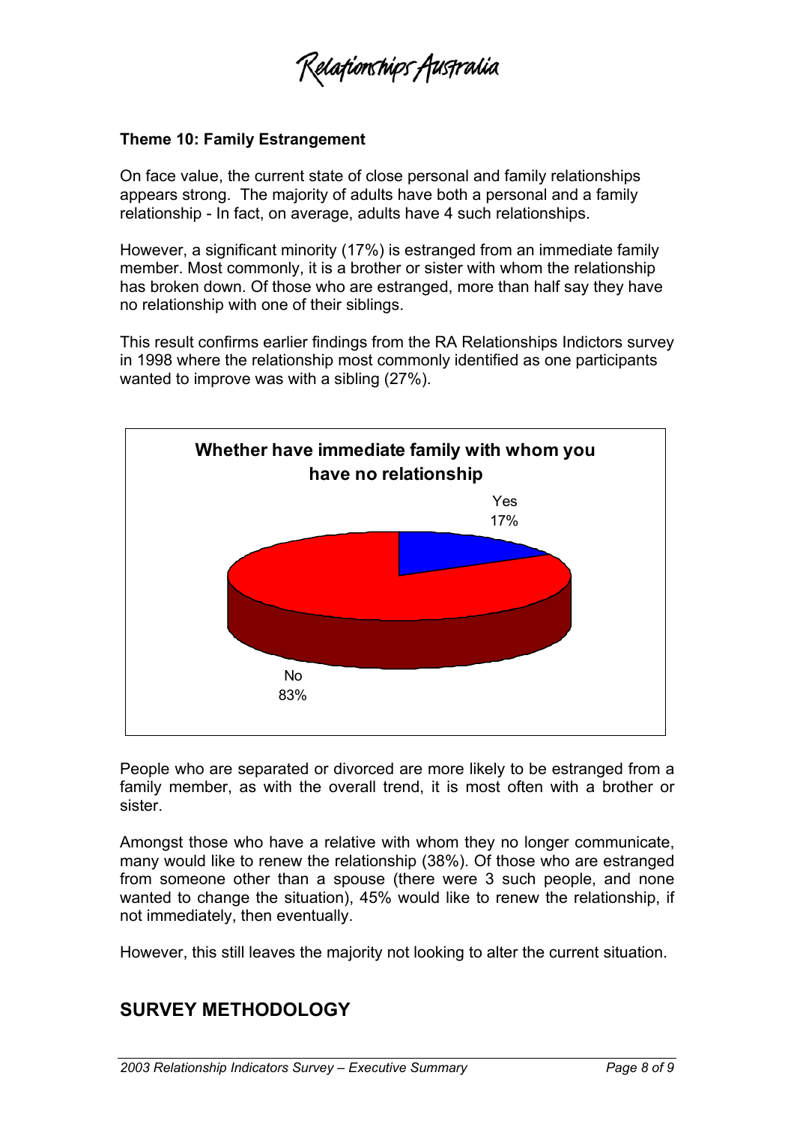Zelafionships Australia

#### **Theme 10: Family Estrangement**

On face value, the current state of close personal and family relationships appears strong. The majority of adults have both a personal and a family relationship - In fact, on average, adults have 4 such relationships.

However, a significant minority (17%) is estranged from an immediate family member. Most commonly, it is a brother or sister with whom the relationship has broken down. Of those who are estranged, more than half say they have no relationship with one of their siblings.

This result confirms earlier findings from the RA Relationships Indictors survey in 1998 where the relationship most commonly identified as one participants wanted to improve was with a sibling (27%).



People who are separated or divorced are more likely to be estranged from a family member, as with the overall trend, it is most often with a brother or sister.

Amongst those who have a relative with whom they no longer communicate, many would like to renew the relationship (38%). Of those who are estranged from someone other than a spouse (there were 3 such people, and none wanted to change the situation), 45% would like to renew the relationship, if not immediately, then eventually.

However, this still leaves the majority not looking to alter the current situation.

# **SURVEY METHODOLOGY**